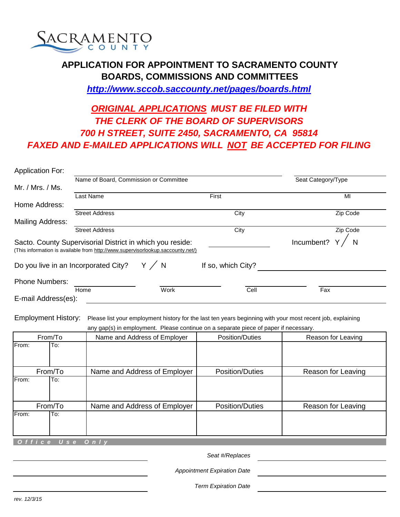

## **APPLICATION FOR APPOINTMENT TO SACRAMENTO COUNTY BOARDS, COMMISSIONS AND COMMITTEES** *http://www.sccob.saccounty.net/pages/boards.html*

## *FAXED AND E-MAILED APPLICATIONS WILL NOT BE ACCEPTED FOR FILING ORIGINAL APPLICATIONS MUST BE FILED WITH THE CLERK OF THE BOARD OF SUPERVISORS 700 H STREET, SUITE 2450, SACRAMENTO, CA 95814*

| <b>Application For:</b> |                                                                                 |       |                    |                    |  |
|-------------------------|---------------------------------------------------------------------------------|-------|--------------------|--------------------|--|
|                         | Name of Board, Commission or Committee                                          |       |                    | Seat Category/Type |  |
| Mr. / Mrs. / Ms.        |                                                                                 |       |                    |                    |  |
|                         | Last Name                                                                       |       | First              | MI                 |  |
| Home Address:           |                                                                                 |       |                    |                    |  |
|                         | <b>Street Address</b>                                                           |       | City               | Zip Code           |  |
| <b>Mailing Address:</b> |                                                                                 |       |                    |                    |  |
|                         | <b>Street Address</b>                                                           |       | City               | Zip Code           |  |
|                         | Sacto. County Supervisorial District in which you reside:                       |       |                    | Incumbent?         |  |
|                         | (This information is available from http://www.supervisorlookup.saccounty.net/) |       |                    |                    |  |
|                         |                                                                                 |       |                    |                    |  |
|                         | Do you live in an Incorporated City?                                            | Y / N | If so, which City? |                    |  |
| <b>Phone Numbers:</b>   |                                                                                 |       |                    |                    |  |
|                         | Home                                                                            | Work  | Cell               | Fax                |  |

| From/To      | Name and Address of Employer | Position/Duties        | Reason for Leaving |
|--------------|------------------------------|------------------------|--------------------|
| From:<br>To: |                              |                        |                    |
|              |                              |                        |                    |
| From/To      | Name and Address of Employer | <b>Position/Duties</b> | Reason for Leaving |
| From:<br>To: |                              |                        |                    |
|              |                              |                        |                    |
| From/To      | Name and Address of Employer | <b>Position/Duties</b> | Reason for Leaving |
| From:<br>To: |                              |                        |                    |
|              |                              |                        |                    |
|              |                              |                        |                    |

 *O f f i c e U s e O n l y*

*Seat #/Replaces* 

*Appointment Expiration Date* 

*Term Expiration Date*